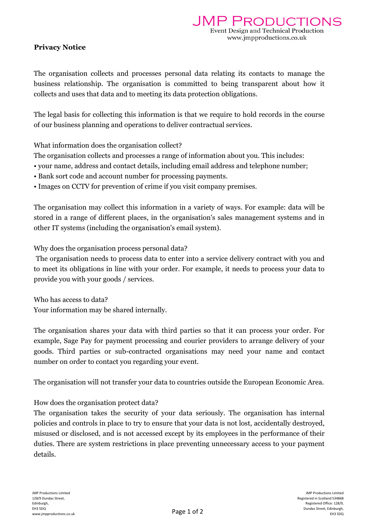## Privacy Notice

The organisation collects and processes personal data relating its contacts to manage the business relationship. The organisation is committed to being transparent about how it collects and uses that data and to meeting its data protection obligations.

The legal basis for collecting this information is that we require to hold records in the course of our business planning and operations to deliver contractual services.

What information does the organisation collect?

The organisation collects and processes a range of information about you. This includes:

- your name, address and contact details, including email address and telephone number;
- Bank sort code and account number for processing payments.
- Images on CCTV for prevention of crime if you visit company premises.

The organisation may collect this information in a variety of ways. For example: data will be stored in a range of different places, in the organisation's sales management systems and in other IT systems (including the organisation's email system).

Why does the organisation process personal data?

The organisation needs to process data to enter into a service delivery contract with you and to meet its obligations in line with your order. For example, it needs to process your data to provide you with your goods / services.

Who has access to data? Your information may be shared internally.

The organisation shares your data with third parties so that it can process your order. For example, Sage Pay for payment processing and courier providers to arrange delivery of your goods. Third parties or sub-contracted organisations may need your name and contact number on order to contact you regarding your event.

The organisation will not transfer your data to countries outside the European Economic Area.

## How does the organisation protect data?

The organisation takes the security of your data seriously. The organisation has internal policies and controls in place to try to ensure that your data is not lost, accidentally destroyed, misused or disclosed, and is not accessed except by its employees in the performance of their duties. There are system restrictions in place preventing unnecessary access to your payment details.